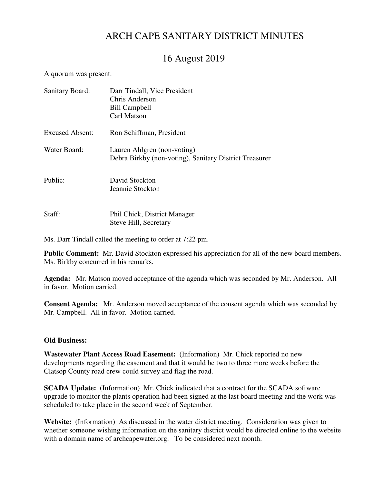# ARCH CAPE SANITARY DISTRICT MINUTES

# 16 August 2019

A quorum was present.

| <b>Sanitary Board:</b> | Darr Tindall, Vice President<br>Chris Anderson<br><b>Bill Campbell</b><br>Carl Matson |
|------------------------|---------------------------------------------------------------------------------------|
| <b>Excused Absent:</b> | Ron Schiffman, President                                                              |
| Water Board:           | Lauren Ahlgren (non-voting)<br>Debra Birkby (non-voting), Sanitary District Treasurer |
| Public:                | David Stockton<br>Jeannie Stockton                                                    |
| Staff:                 | Phil Chick, District Manager<br>Steve Hill, Secretary                                 |

Ms. Darr Tindall called the meeting to order at 7:22 pm.

**Public Comment:** Mr. David Stockton expressed his appreciation for all of the new board members. Ms. Birkby concurred in his remarks.

**Agenda:** Mr. Matson moved acceptance of the agenda which was seconded by Mr. Anderson. All in favor. Motion carried.

**Consent Agenda:** Mr. Anderson moved acceptance of the consent agenda which was seconded by Mr. Campbell. All in favor. Motion carried.

## **Old Business:**

**Wastewater Plant Access Road Easement:** (Information) Mr. Chick reported no new developments regarding the easement and that it would be two to three more weeks before the Clatsop County road crew could survey and flag the road.

**SCADA Update:** (Information) Mr. Chick indicated that a contract for the SCADA software upgrade to monitor the plants operation had been signed at the last board meeting and the work was scheduled to take place in the second week of September.

**Website:** (Information) As discussed in the water district meeting. Consideration was given to whether someone wishing information on the sanitary district would be directed online to the website with a domain name of archcapewater.org. To be considered next month.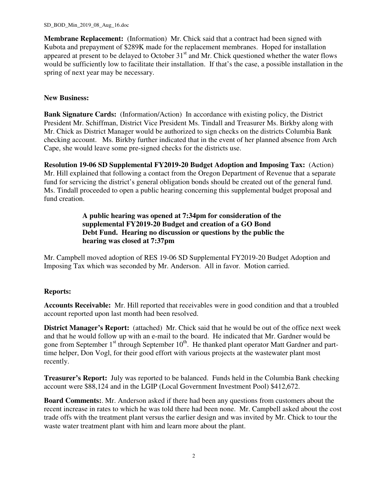**Membrane Replacement:** (Information) Mr. Chick said that a contract had been signed with Kubota and prepayment of \$289K made for the replacement membranes. Hoped for installation appeared at present to be delayed to October 31<sup>st</sup> and Mr. Chick questioned whether the water flows would be sufficiently low to facilitate their installation. If that's the case, a possible installation in the spring of next year may be necessary.

## **New Business:**

**Bank Signature Cards:** (Information/Action) In accordance with existing policy, the District President Mr. Schiffman, District Vice President Ms. Tindall and Treasurer Ms. Birkby along with Mr. Chick as District Manager would be authorized to sign checks on the districts Columbia Bank checking account. Ms. Birkby further indicated that in the event of her planned absence from Arch Cape, she would leave some pre-signed checks for the districts use.

**Resolution 19-06 SD Supplemental FY2019-20 Budget Adoption and Imposing Tax:** (Action) Mr. Hill explained that following a contact from the Oregon Department of Revenue that a separate fund for servicing the district's general obligation bonds should be created out of the general fund. Ms. Tindall proceeded to open a public hearing concerning this supplemental budget proposal and fund creation.

> **A public hearing was opened at 7:34pm for consideration of the supplemental FY2019-20 Budget and creation of a GO Bond Debt Fund. Hearing no discussion or questions by the public the hearing was closed at 7:37pm**

Mr. Campbell moved adoption of RES 19-06 SD Supplemental FY2019-20 Budget Adoption and Imposing Tax which was seconded by Mr. Anderson. All in favor. Motion carried.

## **Reports:**

**Accounts Receivable:** Mr. Hill reported that receivables were in good condition and that a troubled account reported upon last month had been resolved.

**District Manager's Report:** (attached) Mr. Chick said that he would be out of the office next week and that he would follow up with an e-mail to the board. He indicated that Mr. Gardner would be gone from September  $1<sup>st</sup>$  through September  $10<sup>th</sup>$ . He thanked plant operator Matt Gardner and parttime helper, Don Vogl, for their good effort with various projects at the wastewater plant most recently.

**Treasurer's Report:** July was reported to be balanced. Funds held in the Columbia Bank checking account were \$88,124 and in the LGIP (Local Government Investment Pool) \$412,672.

**Board Comments:**. Mr. Anderson asked if there had been any questions from customers about the recent increase in rates to which he was told there had been none. Mr. Campbell asked about the cost trade offs with the treatment plant versus the earlier design and was invited by Mr. Chick to tour the waste water treatment plant with him and learn more about the plant.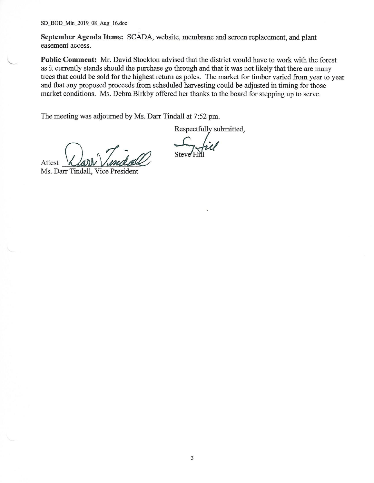SD\_BOD\_Min\_2019\_08\_Aug\_16.doc

September Agenda Items: SCADA, website, membrane and screen replacement, and plant easement access.

Public Comment: Mr. David Stockton advised that the district would have to work with the forest as it currently stands should the purchase go through and that it was not likely that there are many trees that could be sold for the highest return as poles. The market for timber varied from year to year and that any proposed proceeds from scheduled harvesting could be adjusted in timing for those market conditions. Ms. Debra Birkby offered her thanks to the board for stepping up to serve.

The meeting was adjourned by Ms. Darr Tindall at 7:52 pm.

Respectfully submitted,

Attest

Ms. Darr Tindall, Vice President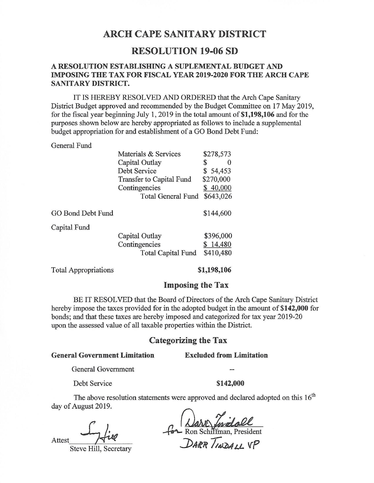## **ARCH CAPE SANITARY DISTRICT**

## **RESOLUTION 19-06 SD**

## A RESOLUTION ESTABLISHING A SUPLEMENTAL BUDGET AND **IMPOSING THE TAX FOR FISCAL YEAR 2019-2020 FOR THE ARCH CAPE** SANITARY DISTRICT.

IT IS HEREBY RESOLVED AND ORDERED that the Arch Cape Sanitary District Budget approved and recommended by the Budget Committee on 17 May 2019, for the fiscal year beginning July 1, 2019 in the total amount of \$1,198,106 and for the purposes shown below are hereby appropriated as follows to include a supplemental budget appropriation for and establishment of a GO Bond Debt Fund:

#### General Fund

|                   | Materials & Services      | 218.515   |
|-------------------|---------------------------|-----------|
|                   | Capital Outlay            | \$        |
|                   | Debt Service              | \$54,453  |
|                   | Transfer to Capital Fund  | \$270,000 |
|                   | Contingencies             | \$40,000  |
|                   | <b>Total General Fund</b> | \$643,026 |
| GO Bond Debt Fund |                           | \$144,600 |
| Capital Fund      |                           |           |
|                   | Capital Outlay            | \$396,000 |
|                   | Contingencies             | \$14,480  |
|                   | <b>Total Capital Fund</b> | \$410,480 |
|                   |                           |           |

 $\overline{a}$ 

**Total Appropriations** 

\$1,198,106

### **Imposing the Tax**

BE IT RESOLVED that the Board of Directors of the Arch Cape Sanitary District hereby impose the taxes provided for in the adopted budget in the amount of \$142,000 for bonds; and that these taxes are hereby imposed and categorized for tax year 2019-20 upon the assessed value of all taxable properties within the District.

### **Categorizing the Tax**

#### **General Government Limitation**

#### **Excluded from Limitation**

General Government

Debt Service

#### \$142,000

The above resolution statements were approved and declared adopted on this  $16<sup>th</sup>$ day of August 2019.

Attest

Steve Hill, Secretary

For Ron Schiffman, President